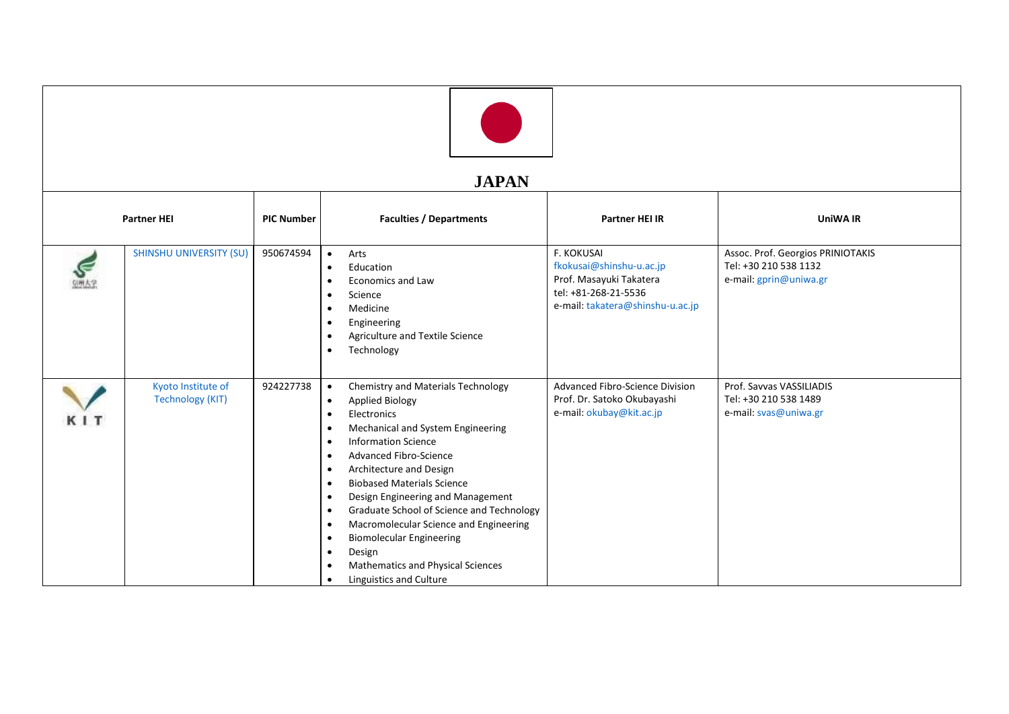## **JAPAN**

| <b>ULII LII</b>    |                                               |                   |                                                                                                                                                                                                                                                                                                                                                                                                                                                                                                                                                                                                                                                                                      |                                                                                                                                      |                                                                                      |  |  |  |
|--------------------|-----------------------------------------------|-------------------|--------------------------------------------------------------------------------------------------------------------------------------------------------------------------------------------------------------------------------------------------------------------------------------------------------------------------------------------------------------------------------------------------------------------------------------------------------------------------------------------------------------------------------------------------------------------------------------------------------------------------------------------------------------------------------------|--------------------------------------------------------------------------------------------------------------------------------------|--------------------------------------------------------------------------------------|--|--|--|
| <b>Partner HEI</b> |                                               | <b>PIC Number</b> | <b>Faculties / Departments</b>                                                                                                                                                                                                                                                                                                                                                                                                                                                                                                                                                                                                                                                       | <b>Partner HEI IR</b>                                                                                                                | <b>UniWA IR</b>                                                                      |  |  |  |
|                    | <b>SHINSHU UNIVERSITY (SU)</b>                | 950674594         | Arts<br>$\bullet$<br>Education<br>$\bullet$<br><b>Economics and Law</b><br>$\bullet$<br>Science<br>$\bullet$<br>Medicine<br>$\bullet$<br>Engineering<br>$\bullet$<br>Agriculture and Textile Science<br>$\bullet$<br>Technology<br>$\bullet$                                                                                                                                                                                                                                                                                                                                                                                                                                         | <b>F. KOKUSAI</b><br>fkokusai@shinshu-u.ac.jp<br>Prof. Masayuki Takatera<br>tel: +81-268-21-5536<br>e-mail: takatera@shinshu-u.ac.jp | Assoc. Prof. Georgios PRINIOTAKIS<br>Tel: +30 210 538 1132<br>e-mail: gprin@uniwa.gr |  |  |  |
| KIT                | Kyoto Institute of<br><b>Technology (KIT)</b> | 924227738         | Chemistry and Materials Technology<br>$\bullet$<br><b>Applied Biology</b><br>$\bullet$<br>Electronics<br>$\bullet$<br>Mechanical and System Engineering<br>$\bullet$<br><b>Information Science</b><br>$\bullet$<br>Advanced Fibro-Science<br>$\bullet$<br>Architecture and Design<br>$\bullet$<br><b>Biobased Materials Science</b><br>$\bullet$<br>Design Engineering and Management<br>$\bullet$<br>Graduate School of Science and Technology<br>$\bullet$<br>Macromolecular Science and Engineering<br>$\bullet$<br><b>Biomolecular Engineering</b><br>$\bullet$<br>Design<br>$\bullet$<br>Mathematics and Physical Sciences<br>$\bullet$<br>Linguistics and Culture<br>$\bullet$ | Advanced Fibro-Science Division<br>Prof. Dr. Satoko Okubayashi<br>e-mail: okubay@kit.ac.jp                                           | Prof. Savvas VASSILIADIS<br>Tel: +30 210 538 1489<br>e-mail: svas@uniwa.gr           |  |  |  |